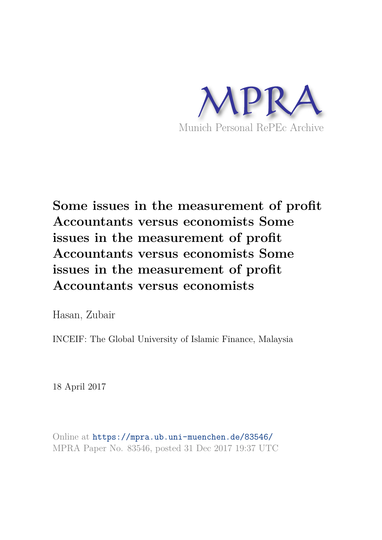

# **Some issues in the measurement of profit Accountants versus economists Some issues in the measurement of profit Accountants versus economists Some issues in the measurement of profit Accountants versus economists**

Hasan, Zubair

INCEIF: The Global University of Islamic Finance, Malaysia

18 April 2017

Online at https://mpra.ub.uni-muenchen.de/83546/ MPRA Paper No. 83546, posted 31 Dec 2017 19:37 UTC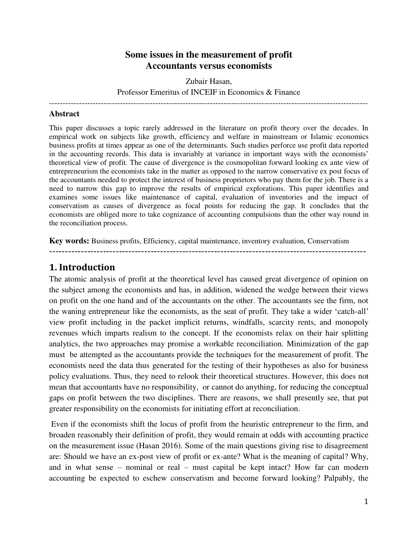# **Some issues in the measurement of profit Accountants versus economists**

Zubair Hasan, Professor Emeritus of INCEIF in Economics & Finance

---------------------------------------------------------------------------------------------------------------------

### **Abstract**

This paper discusses a topic rarely addressed in the literature on profit theory over the decades. In empirical work on subjects like growth, efficiency and welfare in mainstream or Islamic economics business profits at times appear as one of the determinants. Such studies perforce use profit data reported in the accounting records. This data is invariably at variance in important ways with the economists' theoretical view of profit. The cause of divergence is the cosmopolitan forward looking ex ante view of entrepreneurism the economists take in the matter as opposed to the narrow conservative ex post focus of the accountants needed to protect the interest of business proprietors who pay them for the job. There is a need to narrow this gap to improve the results of empirical explorations. This paper identifies and examines some issues like maintenance of capital, evaluation of inventories and the impact of conservatism as causes of divergence as focal points for reducing the gap. It concludes that the economists are obliged more to take cognizance of accounting compulsions than the other way round in the reconciliation process.

**Key words:** Business profits, Efficiency, capital maintenance, inventory evaluation, Conservatism

----------------------------------------------------------------------------------------------------

# **1. Introduction**

The atomic analysis of profit at the theoretical level has caused great divergence of opinion on the subject among the economists and has, in addition, widened the wedge between their views on profit on the one hand and of the accountants on the other. The accountants see the firm, not the waning entrepreneur like the economists, as the seat of profit. They take a wider 'catch-all' view profit including in the packet implicit returns, windfalls, scarcity rents, and monopoly revenues which imparts realism to the concept. If the economists relax on their hair splitting analytics, the two approaches may promise a workable reconciliation. Minimization of the gap must be attempted as the accountants provide the techniques for the measurement of profit. The economists need the data thus generated for the testing of their hypotheses as also for business policy evaluations. Thus, they need to relook their theoretical structures. However, this does not mean that accountants have no responsibility, or cannot do anything, for reducing the conceptual gaps on profit between the two disciplines. There are reasons, we shall presently see, that put greater responsibility on the economists for initiating effort at reconciliation.

 Even if the economists shift the locus of profit from the heuristic entrepreneur to the firm, and broaden reasonably their definition of profit, they would remain at odds with accounting practice on the measurement issue (Hasan 2016). Some of the main questions giving rise to disagreement are: Should we have an ex-post view of profit or ex-ante? What is the meaning of capital? Why, and in what sense – nominal or real – must capital be kept intact? How far can modern accounting be expected to eschew conservatism and become forward looking? Palpably, the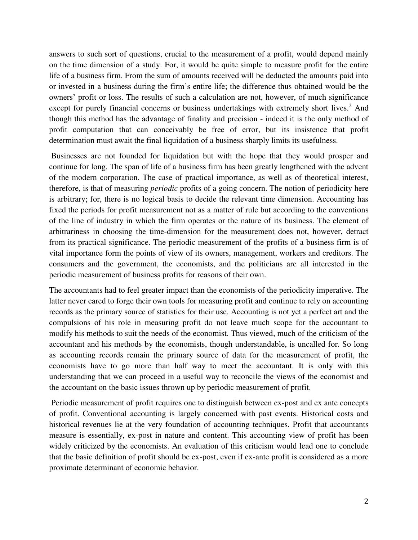answers to such sort of questions, crucial to the measurement of a profit, would depend mainly on the time dimension of a study. For, it would be quite simple to measure profit for the entire life of a business firm. From the sum of amounts received will be deducted the amounts paid into or invested in a business during the firm's entire life; the difference thus obtained would be the owners' profit or loss. The results of such a calculation are not, however, of much significance except for purely financial concerns or business undertakings with extremely short lives.<sup>2</sup> And though this method has the advantage of finality and precision - indeed it is the only method of profit computation that can conceivably be free of error, but its insistence that profit determination must await the final liquidation of a business sharply limits its usefulness.

 Businesses are not founded for liquidation but with the hope that they would prosper and continue for long. The span of life of a business firm has been greatly lengthened with the advent of the modern corporation. The case of practical importance, as well as of theoretical interest, therefore, is that of measuring *periodic* profits of a going concern. The notion of periodicity here is arbitrary; for, there is no logical basis to decide the relevant time dimension. Accounting has fixed the periods for profit measurement not as a matter of rule but according to the conventions of the line of industry in which the firm operates or the nature of its business. The element of arbitrariness in choosing the time-dimension for the measurement does not, however, detract from its practical significance. The periodic measurement of the profits of a business firm is of vital importance form the points of view of its owners, management, workers and creditors. The consumers and the government, the economists, and the politicians are all interested in the periodic measurement of business profits for reasons of their own.

The accountants had to feel greater impact than the economists of the periodicity imperative. The latter never cared to forge their own tools for measuring profit and continue to rely on accounting records as the primary source of statistics for their use. Accounting is not yet a perfect art and the compulsions of his role in measuring profit do not leave much scope for the accountant to modify his methods to suit the needs of the economist. Thus viewed, much of the criticism of the accountant and his methods by the economists, though understandable, is uncalled for. So long as accounting records remain the primary source of data for the measurement of profit, the economists have to go more than half way to meet the accountant. It is only with this understanding that we can proceed in a useful way to reconcile the views of the economist and the accountant on the basic issues thrown up by periodic measurement of profit.

 Periodic measurement of profit requires one to distinguish between ex-post and ex ante concepts of profit. Conventional accounting is largely concerned with past events. Historical costs and historical revenues lie at the very foundation of accounting techniques. Profit that accountants measure is essentially, ex-post in nature and content. This accounting view of profit has been widely criticized by the economists. An evaluation of this criticism would lead one to conclude that the basic definition of profit should be ex-post, even if ex-ante profit is considered as a more proximate determinant of economic behavior.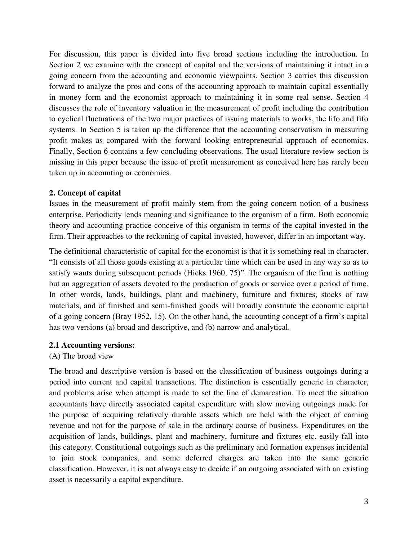For discussion, this paper is divided into five broad sections including the introduction. In Section 2 we examine with the concept of capital and the versions of maintaining it intact in a going concern from the accounting and economic viewpoints. Section 3 carries this discussion forward to analyze the pros and cons of the accounting approach to maintain capital essentially in money form and the economist approach to maintaining it in some real sense. Section 4 discusses the role of inventory valuation in the measurement of profit including the contribution to cyclical fluctuations of the two major practices of issuing materials to works, the lifo and fifo systems. In Section 5 is taken up the difference that the accounting conservatism in measuring profit makes as compared with the forward looking entrepreneurial approach of economics. Finally, Section 6 contains a few concluding observations. The usual literature review section is missing in this paper because the issue of profit measurement as conceived here has rarely been taken up in accounting or economics.

### **2. Concept of capital**

Issues in the measurement of profit mainly stem from the going concern notion of a business enterprise. Periodicity lends meaning and significance to the organism of a firm. Both economic theory and accounting practice conceive of this organism in terms of the capital invested in the firm. Their approaches to the reckoning of capital invested, however, differ in an important way.

The definitional characteristic of capital for the economist is that it is something real in character. "It consists of all those goods existing at a particular time which can be used in any way so as to satisfy wants during subsequent periods (Hicks 1960, 75)". The organism of the firm is nothing but an aggregation of assets devoted to the production of goods or service over a period of time. In other words, lands, buildings, plant and machinery, furniture and fixtures, stocks of raw materials, and of finished and semi-finished goods will broadly constitute the economic capital of a going concern (Bray 1952, 15). On the other hand, the accounting concept of a firm's capital has two versions (a) broad and descriptive, and (b) narrow and analytical.

# **2.1 Accounting versions:**

# (A) The broad view

The broad and descriptive version is based on the classification of business outgoings during a period into current and capital transactions. The distinction is essentially generic in character, and problems arise when attempt is made to set the line of demarcation. To meet the situation accountants have directly associated capital expenditure with slow moving outgoings made for the purpose of acquiring relatively durable assets which are held with the object of earning revenue and not for the purpose of sale in the ordinary course of business. Expenditures on the acquisition of lands, buildings, plant and machinery, furniture and fixtures etc. easily fall into this category. Constitutional outgoings such as the preliminary and formation expenses incidental to join stock companies, and some deferred charges are taken into the same generic classification. However, it is not always easy to decide if an outgoing associated with an existing asset is necessarily a capital expenditure.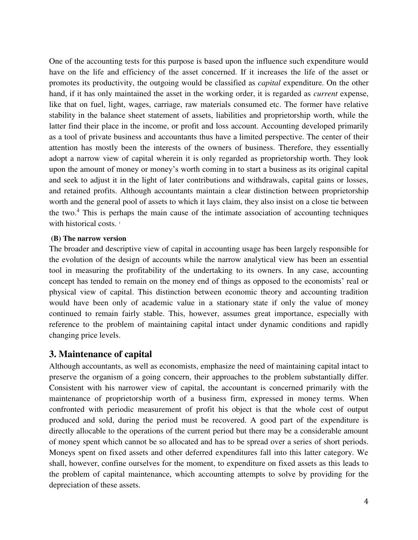One of the accounting tests for this purpose is based upon the influence such expenditure would have on the life and efficiency of the asset concerned. If it increases the life of the asset or promotes its productivity, the outgoing would be classified as *capital* expenditure. On the other hand, if it has only maintained the asset in the working order, it is regarded as *current* expense, like that on fuel, light, wages, carriage, raw materials consumed etc. The former have relative stability in the balance sheet statement of assets, liabilities and proprietorship worth, while the latter find their place in the income, or profit and loss account. Accounting developed primarily as a tool of private business and accountants thus have a limited perspective. The center of their attention has mostly been the interests of the owners of business. Therefore, they essentially adopt a narrow view of capital wherein it is only regarded as proprietorship worth. They look upon the amount of money or money's worth coming in to start a business as its original capital and seek to adjust it in the light of later contributions and withdrawals, capital gains or losses, and retained profits. Although accountants maintain a clear distinction between proprietorship worth and the general pool of assets to which it lays claim, they also insist on a close tie between the two.<sup>4</sup> This is perhaps the main cause of the intimate association of accounting techniques with historical costs.<sup>1</sup>

### **(B) The narrow version**

The broader and descriptive view of capital in accounting usage has been largely responsible for the evolution of the design of accounts while the narrow analytical view has been an essential tool in measuring the profitability of the undertaking to its owners. In any case, accounting concept has tended to remain on the money end of things as opposed to the economists' real or physical view of capital. This distinction between economic theory and accounting tradition would have been only of academic value in a stationary state if only the value of money continued to remain fairly stable. This, however, assumes great importance, especially with reference to the problem of maintaining capital intact under dynamic conditions and rapidly changing price levels.

# **3. Maintenance of capital**

Although accountants, as well as economists, emphasize the need of maintaining capital intact to preserve the organism of a going concern, their approaches to the problem substantially differ. Consistent with his narrower view of capital, the accountant is concerned primarily with the maintenance of proprietorship worth of a business firm, expressed in money terms. When confronted with periodic measurement of profit his object is that the whole cost of output produced and sold, during the period must be recovered. A good part of the expenditure is directly allocable to the operations of the current period but there may be a considerable amount of money spent which cannot be so allocated and has to be spread over a series of short periods. Moneys spent on fixed assets and other deferred expenditures fall into this latter category. We shall, however, confine ourselves for the moment, to expenditure on fixed assets as this leads to the problem of capital maintenance, which accounting attempts to solve by providing for the depreciation of these assets.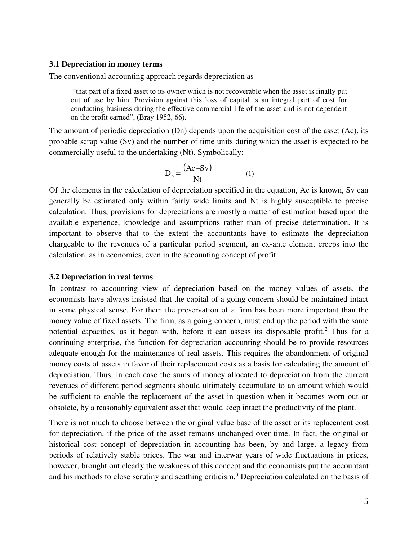#### **3.1 Depreciation in money terms**

The conventional accounting approach regards depreciation as

"that part of a fixed asset to its owner which is not recoverable when the asset is finally put out of use by him. Provision against this loss of capital is an integral part of cost for conducting business during the effective commercial life of the asset and is not dependent on the profit earned", (Bray 1952, 66).

The amount of periodic depreciation (Dn) depends upon the acquisition cost of the asset (Ac), its probable scrap value (Sv) and the number of time units during which the asset is expected to be commercially useful to the undertaking (Nt). Symbolically:

$$
D_n = \frac{(Ac - Sv)}{Nt}
$$
 (1)

Of the elements in the calculation of depreciation specified in the equation, Ac is known, Sv can generally be estimated only within fairly wide limits and Nt is highly susceptible to precise calculation. Thus, provisions for depreciations are mostly a matter of estimation based upon the available experience, knowledge and assumptions rather than of precise determination. It is important to observe that to the extent the accountants have to estimate the depreciation chargeable to the revenues of a particular period segment, an ex-ante element creeps into the calculation, as in economics, even in the accounting concept of profit.

#### **3.2 Depreciation in real terms**

In contrast to accounting view of depreciation based on the money values of assets, the economists have always insisted that the capital of a going concern should be maintained intact in some physical sense. For them the preservation of a firm has been more important than the money value of fixed assets. The firm, as a going concern, must end up the period with the same potential capacities, as it began with, before it can assess its disposable profit.<sup>2</sup> Thus for a continuing enterprise, the function for depreciation accounting should be to provide resources adequate enough for the maintenance of real assets. This requires the abandonment of original money costs of assets in favor of their replacement costs as a basis for calculating the amount of depreciation. Thus, in each case the sums of money allocated to depreciation from the current revenues of different period segments should ultimately accumulate to an amount which would be sufficient to enable the replacement of the asset in question when it becomes worn out or obsolete, by a reasonably equivalent asset that would keep intact the productivity of the plant.

There is not much to choose between the original value base of the asset or its replacement cost for depreciation, if the price of the asset remains unchanged over time. In fact, the original or historical cost concept of depreciation in accounting has been, by and large, a legacy from periods of relatively stable prices. The war and interwar years of wide fluctuations in prices, however, brought out clearly the weakness of this concept and the economists put the accountant and his methods to close scrutiny and scathing criticism.<sup>3</sup> Depreciation calculated on the basis of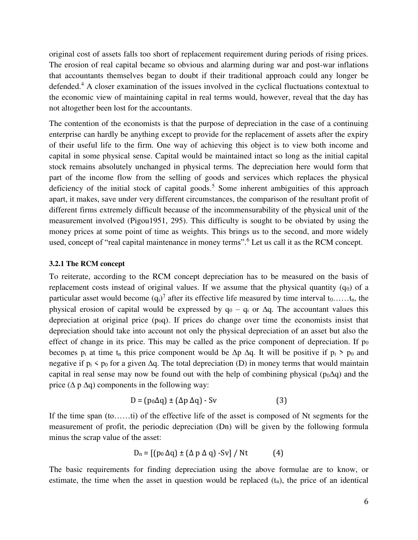original cost of assets falls too short of replacement requirement during periods of rising prices. The erosion of real capital became so obvious and alarming during war and post-war inflations that accountants themselves began to doubt if their traditional approach could any longer be defended.<sup>4</sup> A closer examination of the issues involved in the cyclical fluctuations contextual to the economic view of maintaining capital in real terms would, however, reveal that the day has not altogether been lost for the accountants.

The contention of the economists is that the purpose of depreciation in the case of a continuing enterprise can hardly be anything except to provide for the replacement of assets after the expiry of their useful life to the firm. One way of achieving this object is to view both income and capital in some physical sense. Capital would be maintained intact so long as the initial capital stock remains absolutely unchanged in physical terms. The depreciation here would form that part of the income flow from the selling of goods and services which replaces the physical deficiency of the initial stock of capital goods.<sup>5</sup> Some inherent ambiguities of this approach apart, it makes, save under very different circumstances, the comparison of the resultant profit of different firms extremely difficult because of the incommensurability of the physical unit of the measurement involved (Pigou1951, 295). This difficulty is sought to be obviated by using the money prices at some point of time as weights. This brings us to the second, and more widely used, concept of "real capital maintenance in money terms".<sup>6</sup> Let us call it as the RCM concept.

#### **3.2.1 The RCM concept**

To reiterate, according to the RCM concept depreciation has to be measured on the basis of replacement costs instead of original values. If we assume that the physical quantity  $(q_0)$  of a particular asset would become  $(q_i)^7$  after its effective life measured by time interval  $t_0$ ...... $t_n$ , the physical erosion of capital would be expressed by  $q_0 - q_i$  or  $\Delta q$ . The accountant values this depreciation at original price  $(p_{0}q)$ . If prices do change over time the economists insist that depreciation should take into account not only the physical depreciation of an asset but also the effect of change in its price. This may be called as the price component of depreciation. If  $p_0$ becomes  $p_i$  at time t<sub>n</sub> this price component would be  $\Delta p \Delta q$ . It will be positive if  $p_i > p_0$  and negative if  $p_i$  <  $p_0$  for a given  $\Delta q$ . The total depreciation (D) in money terms that would maintain capital in real sense may now be found out with the help of combining physical ( $p_0\Delta q$ ) and the price ( $\Delta p \Delta q$ ) components in the following way:

$$
D = (p_0 \Delta q) \pm (\Delta p \Delta q) - Sv
$$
 (3)

If the time span (to……ti) of the effective life of the asset is composed of Nt segments for the measurement of profit, the periodic depreciation (Dn) will be given by the following formula minus the scrap value of the asset:

$$
D_n = [(p_0 \Delta q) \pm (\Delta p \Delta q) - Sv] / Nt \qquad (4)
$$

The basic requirements for finding depreciation using the above formulae are to know, or estimate, the time when the asset in question would be replaced  $(t_n)$ , the price of an identical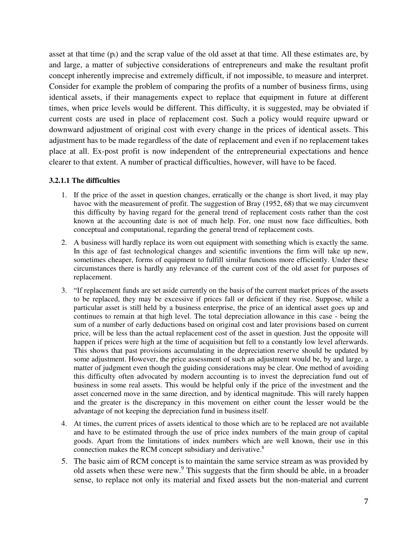asset at that time  $(p_i)$  and the scrap value of the old asset at that time. All these estimates are, by and large, a matter of subjective considerations of entrepreneurs and make the resultant profit concept inherently imprecise and extremely difficult, if not impossible, to measure and interpret. Consider for example the problem of comparing the profits of a number of business firms, using identical assets, if their managements expect to replace that equipment in future at different times, when price levels would be different. This difficulty, it is suggested, may be obviated if current costs are used in place of replacement cost. Such a policy would require upward or downward adjustment of original cost with every change in the prices of identical assets. This adjustment has to be made regardless of the date of replacement and even if no replacement takes place at all. Ex-post profit is now independent of the entrepreneurial expectations and hence clearer to that extent. A number of practical difficulties, however, will have to be faced.

#### **3.2.1.1 The difficulties**

- 1. If the price of the asset in question changes, erratically or the change is short lived, it may play havoc with the measurement of profit. The suggestion of Bray (1952, 68) that we may circumvent this difficulty by having regard for the general trend of replacement costs rather than the cost known at the accounting date is not of much help. For, one must now face difficulties, both conceptual and computational, regarding the general trend of replacement costs.
- 2. A business will hardly replace its worn out equipment with something which is exactly the same. In this age of fast technological changes and scientific inventions the firm will take up new, sometimes cheaper, forms of equipment to fulfill similar functions more efficiently. Under these circumstances there is hardly any relevance of the current cost of the old asset for purposes of replacement.
- 3. "If replacement funds are set aside currently on the basis of the current market prices of the assets to be replaced, they may be excessive if prices fall or deficient if they rise. Suppose, while a particular asset is still held by a business enterprise, the price of an identical asset goes up and continues to remain at that high level. The total depreciation allowance in this case - being the sum of a number of early deductions based on original cost and later provisions based on current price, will be less than the actual replacement cost of the asset in question. Just the opposite will happen if prices were high at the time of acquisition but fell to a constantly low level afterwards. This shows that past provisions accumulating in the depreciation reserve should be updated by some adjustment. However, the price assessment of such an adjustment would be, by and large, a matter of judgment even though the guiding considerations may be clear. One method of avoiding this difficulty often advocated by modern accounting is to invest the depreciation fund out of business in some real assets. This would be helpful only if the price of the investment and the asset concerned move in the same direction, and by identical magnitude. This will rarely happen and the greater is the discrepancy in this movement on either count the lesser would be the advantage of not keeping the depreciation fund in business itself.
- 4. At times, the current prices of assets identical to those which are to be replaced are not available and have to be estimated through the use of price index numbers of the main group of capital goods. Apart from the limitations of index numbers which are well known, their use in this connection makes the RCM concept subsidiary and derivative.<sup>8</sup>
- 5. The basic aim of RCM concept is to maintain the same service stream as was provided by old assets when these were new.<sup>9</sup> This suggests that the firm should be able, in a broader sense, to replace not only its material and fixed assets but the non-material and current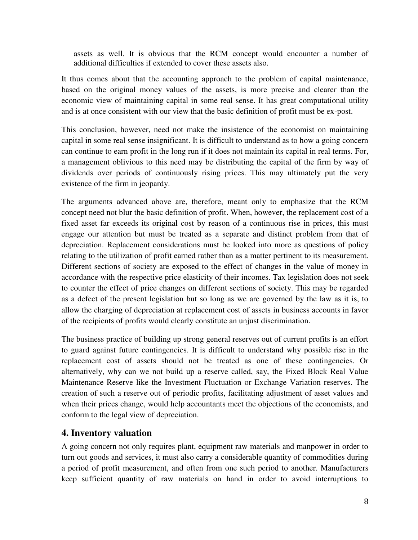assets as well. It is obvious that the RCM concept would encounter a number of additional difficulties if extended to cover these assets also.

It thus comes about that the accounting approach to the problem of capital maintenance, based on the original money values of the assets, is more precise and clearer than the economic view of maintaining capital in some real sense. It has great computational utility and is at once consistent with our view that the basic definition of profit must be ex-post.

This conclusion, however, need not make the insistence of the economist on maintaining capital in some real sense insignificant. It is difficult to understand as to how a going concern can continue to earn profit in the long run if it does not maintain its capital in real terms. For, a management oblivious to this need may be distributing the capital of the firm by way of dividends over periods of continuously rising prices. This may ultimately put the very existence of the firm in jeopardy.

The arguments advanced above are, therefore, meant only to emphasize that the RCM concept need not blur the basic definition of profit. When, however, the replacement cost of a fixed asset far exceeds its original cost by reason of a continuous rise in prices, this must engage our attention but must be treated as a separate and distinct problem from that of depreciation. Replacement considerations must be looked into more as questions of policy relating to the utilization of profit earned rather than as a matter pertinent to its measurement. Different sections of society are exposed to the effect of changes in the value of money in accordance with the respective price elasticity of their incomes. Tax legislation does not seek to counter the effect of price changes on different sections of society. This may be regarded as a defect of the present legislation but so long as we are governed by the law as it is, to allow the charging of depreciation at replacement cost of assets in business accounts in favor of the recipients of profits would clearly constitute an unjust discrimination.

The business practice of building up strong general reserves out of current profits is an effort to guard against future contingencies. It is difficult to understand why possible rise in the replacement cost of assets should not be treated as one of these contingencies. Or alternatively, why can we not build up a reserve called, say, the Fixed Block Real Value Maintenance Reserve like the Investment Fluctuation or Exchange Variation reserves. The creation of such a reserve out of periodic profits, facilitating adjustment of asset values and when their prices change, would help accountants meet the objections of the economists, and conform to the legal view of depreciation.

# **4. Inventory valuation**

A going concern not only requires plant, equipment raw materials and manpower in order to turn out goods and services, it must also carry a considerable quantity of commodities during a period of profit measurement, and often from one such period to another. Manufacturers keep sufficient quantity of raw materials on hand in order to avoid interruptions to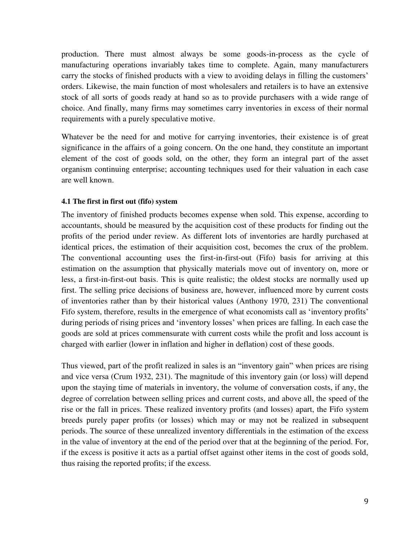production. There must almost always be some goods-in-process as the cycle of manufacturing operations invariably takes time to complete. Again, many manufacturers carry the stocks of finished products with a view to avoiding delays in filling the customers' orders. Likewise, the main function of most wholesalers and retailers is to have an extensive stock of all sorts of goods ready at hand so as to provide purchasers with a wide range of choice. And finally, many firms may sometimes carry inventories in excess of their normal requirements with a purely speculative motive.

Whatever be the need for and motive for carrying inventories, their existence is of great significance in the affairs of a going concern. On the one hand, they constitute an important element of the cost of goods sold, on the other, they form an integral part of the asset organism continuing enterprise; accounting techniques used for their valuation in each case are well known.

### **4.1 The first in first out (fifo) system**

The inventory of finished products becomes expense when sold. This expense, according to accountants, should be measured by the acquisition cost of these products for finding out the profits of the period under review. As different lots of inventories are hardly purchased at identical prices, the estimation of their acquisition cost, becomes the crux of the problem. The conventional accounting uses the first-in-first-out (Fifo) basis for arriving at this estimation on the assumption that physically materials move out of inventory on, more or less, a first-in-first-out basis. This is quite realistic; the oldest stocks are normally used up first. The selling price decisions of business are, however, influenced more by current costs of inventories rather than by their historical values (Anthony 1970, 231) The conventional Fifo system, therefore, results in the emergence of what economists call as 'inventory profits' during periods of rising prices and 'inventory losses' when prices are falling. In each case the goods are sold at prices commensurate with current costs while the profit and loss account is charged with earlier (lower in inflation and higher in deflation) cost of these goods.

Thus viewed, part of the profit realized in sales is an "inventory gain" when prices are rising and vice versa (Crum 1932, 231). The magnitude of this inventory gain (or loss) will depend upon the staying time of materials in inventory, the volume of conversation costs, if any, the degree of correlation between selling prices and current costs, and above all, the speed of the rise or the fall in prices. These realized inventory profits (and losses) apart, the Fifo system breeds purely paper profits (or losses) which may or may not be realized in subsequent periods. The source of these unrealized inventory differentials in the estimation of the excess in the value of inventory at the end of the period over that at the beginning of the period. For, if the excess is positive it acts as a partial offset against other items in the cost of goods sold, thus raising the reported profits; if the excess.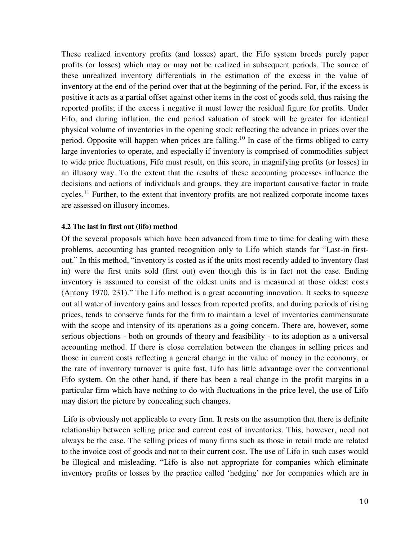These realized inventory profits (and losses) apart, the Fifo system breeds purely paper profits (or losses) which may or may not be realized in subsequent periods. The source of these unrealized inventory differentials in the estimation of the excess in the value of inventory at the end of the period over that at the beginning of the period. For, if the excess is positive it acts as a partial offset against other items in the cost of goods sold, thus raising the reported profits; if the excess i negative it must lower the residual figure for profits. Under Fifo, and during inflation, the end period valuation of stock will be greater for identical physical volume of inventories in the opening stock reflecting the advance in prices over the period. Opposite will happen when prices are falling.<sup>10</sup> In case of the firms obliged to carry large inventories to operate, and especially if inventory is comprised of commodities subject to wide price fluctuations, Fifo must result, on this score, in magnifying profits (or losses) in an illusory way. To the extent that the results of these accounting processes influence the decisions and actions of individuals and groups, they are important causative factor in trade cycles.<sup>11</sup> Further, to the extent that inventory profits are not realized corporate income taxes are assessed on illusory incomes.

### **4.2 The last in first out (lifo) method**

Of the several proposals which have been advanced from time to time for dealing with these problems, accounting has granted recognition only to Lifo which stands for "Last-in firstout." In this method, "inventory is costed as if the units most recently added to inventory (last in) were the first units sold (first out) even though this is in fact not the case. Ending inventory is assumed to consist of the oldest units and is measured at those oldest costs (Antony 1970, 231)." The Lifo method is a great accounting innovation. It seeks to squeeze out all water of inventory gains and losses from reported profits, and during periods of rising prices, tends to conserve funds for the firm to maintain a level of inventories commensurate with the scope and intensity of its operations as a going concern. There are, however, some serious objections - both on grounds of theory and feasibility - to its adoption as a universal accounting method. If there is close correlation between the changes in selling prices and those in current costs reflecting a general change in the value of money in the economy, or the rate of inventory turnover is quite fast, Lifo has little advantage over the conventional Fifo system. On the other hand, if there has been a real change in the profit margins in a particular firm which have nothing to do with fluctuations in the price level, the use of Lifo may distort the picture by concealing such changes.

 Lifo is obviously not applicable to every firm. It rests on the assumption that there is definite relationship between selling price and current cost of inventories. This, however, need not always be the case. The selling prices of many firms such as those in retail trade are related to the invoice cost of goods and not to their current cost. The use of Lifo in such cases would be illogical and misleading. "Lifo is also not appropriate for companies which eliminate inventory profits or losses by the practice called 'hedging' nor for companies which are in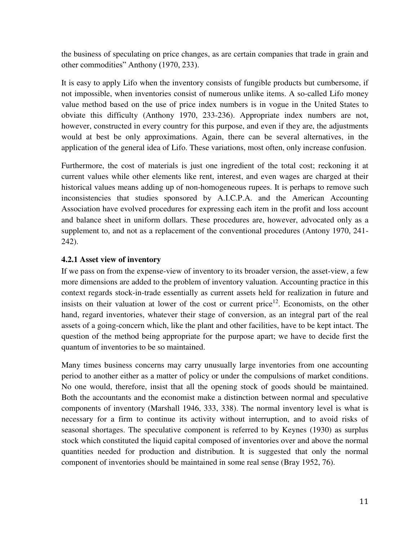the business of speculating on price changes, as are certain companies that trade in grain and other commodities" Anthony (1970, 233).

It is easy to apply Lifo when the inventory consists of fungible products but cumbersome, if not impossible, when inventories consist of numerous unlike items. A so-called Lifo money value method based on the use of price index numbers is in vogue in the United States to obviate this difficulty (Anthony 1970, 233-236). Appropriate index numbers are not, however, constructed in every country for this purpose, and even if they are, the adjustments would at best be only approximations. Again, there can be several alternatives, in the application of the general idea of Lifo. These variations, most often, only increase confusion.

Furthermore, the cost of materials is just one ingredient of the total cost; reckoning it at current values while other elements like rent, interest, and even wages are charged at their historical values means adding up of non-homogeneous rupees. It is perhaps to remove such inconsistencies that studies sponsored by A.I.C.P.A. and the American Accounting Association have evolved procedures for expressing each item in the profit and loss account and balance sheet in uniform dollars. These procedures are, however, advocated only as a supplement to, and not as a replacement of the conventional procedures (Antony 1970, 241- 242).

# **4.2.1 Asset view of inventory**

If we pass on from the expense-view of inventory to its broader version, the asset-view, a few more dimensions are added to the problem of inventory valuation. Accounting practice in this context regards stock-in-trade essentially as current assets held for realization in future and insists on their valuation at lower of the cost or current price<sup>12</sup>. Economists, on the other hand, regard inventories, whatever their stage of conversion, as an integral part of the real assets of a going-concern which, like the plant and other facilities, have to be kept intact. The question of the method being appropriate for the purpose apart; we have to decide first the quantum of inventories to be so maintained.

Many times business concerns may carry unusually large inventories from one accounting period to another either as a matter of policy or under the compulsions of market conditions. No one would, therefore, insist that all the opening stock of goods should be maintained. Both the accountants and the economist make a distinction between normal and speculative components of inventory (Marshall 1946, 333, 338). The normal inventory level is what is necessary for a firm to continue its activity without interruption, and to avoid risks of seasonal shortages. The speculative component is referred to by Keynes (1930) as surplus stock which constituted the liquid capital composed of inventories over and above the normal quantities needed for production and distribution. It is suggested that only the normal component of inventories should be maintained in some real sense (Bray 1952, 76).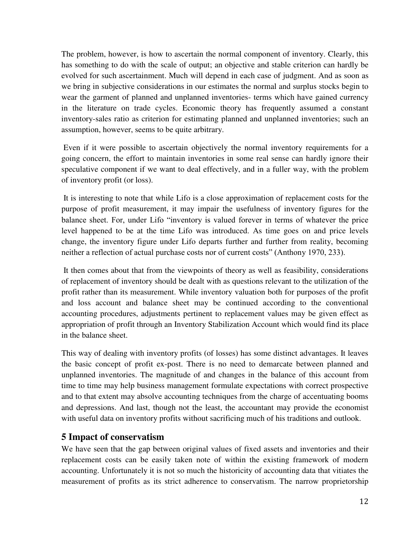The problem, however, is how to ascertain the normal component of inventory. Clearly, this has something to do with the scale of output; an objective and stable criterion can hardly be evolved for such ascertainment. Much will depend in each case of judgment. And as soon as we bring in subjective considerations in our estimates the normal and surplus stocks begin to wear the garment of planned and unplanned inventories- terms which have gained currency in the literature on trade cycles. Economic theory has frequently assumed a constant inventory-sales ratio as criterion for estimating planned and unplanned inventories; such an assumption, however, seems to be quite arbitrary.

 Even if it were possible to ascertain objectively the normal inventory requirements for a going concern, the effort to maintain inventories in some real sense can hardly ignore their speculative component if we want to deal effectively, and in a fuller way, with the problem of inventory profit (or loss).

 It is interesting to note that while Lifo is a close approximation of replacement costs for the purpose of profit measurement, it may impair the usefulness of inventory figures for the balance sheet. For, under Lifo "inventory is valued forever in terms of whatever the price level happened to be at the time Lifo was introduced. As time goes on and price levels change, the inventory figure under Lifo departs further and further from reality, becoming neither a reflection of actual purchase costs nor of current costs" (Anthony 1970, 233).

 It then comes about that from the viewpoints of theory as well as feasibility, considerations of replacement of inventory should be dealt with as questions relevant to the utilization of the profit rather than its measurement. While inventory valuation both for purposes of the profit and loss account and balance sheet may be continued according to the conventional accounting procedures, adjustments pertinent to replacement values may be given effect as appropriation of profit through an Inventory Stabilization Account which would find its place in the balance sheet.

This way of dealing with inventory profits (of losses) has some distinct advantages. It leaves the basic concept of profit ex-post. There is no need to demarcate between planned and unplanned inventories. The magnitude of and changes in the balance of this account from time to time may help business management formulate expectations with correct prospective and to that extent may absolve accounting techniques from the charge of accentuating booms and depressions. And last, though not the least, the accountant may provide the economist with useful data on inventory profits without sacrificing much of his traditions and outlook.

# **5 Impact of conservatism**

We have seen that the gap between original values of fixed assets and inventories and their replacement costs can be easily taken note of within the existing framework of modern accounting. Unfortunately it is not so much the historicity of accounting data that vitiates the measurement of profits as its strict adherence to conservatism. The narrow proprietorship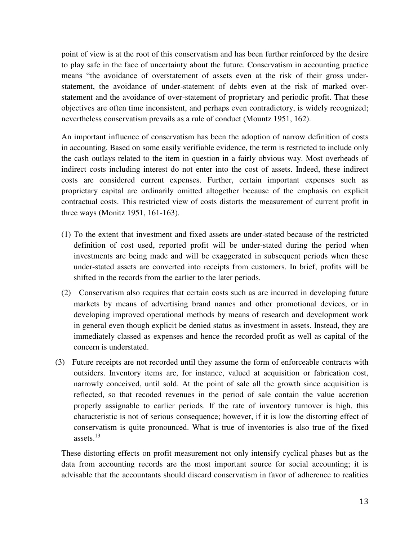point of view is at the root of this conservatism and has been further reinforced by the desire to play safe in the face of uncertainty about the future. Conservatism in accounting practice means "the avoidance of overstatement of assets even at the risk of their gross understatement, the avoidance of under-statement of debts even at the risk of marked overstatement and the avoidance of over-statement of proprietary and periodic profit. That these objectives are often time inconsistent, and perhaps even contradictory, is widely recognized; nevertheless conservatism prevails as a rule of conduct (Mountz 1951, 162).

An important influence of conservatism has been the adoption of narrow definition of costs in accounting. Based on some easily verifiable evidence, the term is restricted to include only the cash outlays related to the item in question in a fairly obvious way. Most overheads of indirect costs including interest do not enter into the cost of assets. Indeed, these indirect costs are considered current expenses. Further, certain important expenses such as proprietary capital are ordinarily omitted altogether because of the emphasis on explicit contractual costs. This restricted view of costs distorts the measurement of current profit in three ways (Monitz 1951, 161-163).

- (1) To the extent that investment and fixed assets are under-stated because of the restricted definition of cost used, reported profit will be under-stated during the period when investments are being made and will be exaggerated in subsequent periods when these under-stated assets are converted into receipts from customers. In brief, profits will be shifted in the records from the earlier to the later periods.
- (2) Conservatism also requires that certain costs such as are incurred in developing future markets by means of advertising brand names and other promotional devices, or in developing improved operational methods by means of research and development work in general even though explicit be denied status as investment in assets. Instead, they are immediately classed as expenses and hence the recorded profit as well as capital of the concern is understated.
- (3) Future receipts are not recorded until they assume the form of enforceable contracts with outsiders. Inventory items are, for instance, valued at acquisition or fabrication cost, narrowly conceived, until sold. At the point of sale all the growth since acquisition is reflected, so that recoded revenues in the period of sale contain the value accretion properly assignable to earlier periods. If the rate of inventory turnover is high, this characteristic is not of serious consequence; however, if it is low the distorting effect of conservatism is quite pronounced. What is true of inventories is also true of the fixed assets. $13$

These distorting effects on profit measurement not only intensify cyclical phases but as the data from accounting records are the most important source for social accounting; it is advisable that the accountants should discard conservatism in favor of adherence to realities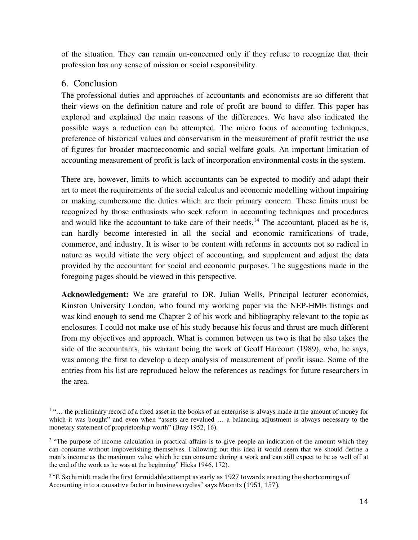of the situation. They can remain un-concerned only if they refuse to recognize that their profession has any sense of mission or social responsibility.

# 6. Conclusion

The professional duties and approaches of accountants and economists are so different that their views on the definition nature and role of profit are bound to differ. This paper has explored and explained the main reasons of the differences. We have also indicated the possible ways a reduction can be attempted. The micro focus of accounting techniques, preference of historical values and conservatism in the measurement of profit restrict the use of figures for broader macroeconomic and social welfare goals. An important limitation of accounting measurement of profit is lack of incorporation environmental costs in the system.

There are, however, limits to which accountants can be expected to modify and adapt their art to meet the requirements of the social calculus and economic modelling without impairing or making cumbersome the duties which are their primary concern. These limits must be recognized by those enthusiasts who seek reform in accounting techniques and procedures and would like the accountant to take care of their needs.<sup>14</sup> The accountant, placed as he is, can hardly become interested in all the social and economic ramifications of trade, commerce, and industry. It is wiser to be content with reforms in accounts not so radical in nature as would vitiate the very object of accounting, and supplement and adjust the data provided by the accountant for social and economic purposes. The suggestions made in the foregoing pages should be viewed in this perspective.

**Acknowledgement:** We are grateful to DR. Julian Wells, Principal lecturer economics, Kinston University London, who found my working paper via the NEP-HME listings and was kind enough to send me Chapter 2 of his work and bibliography relevant to the topic as enclosures. I could not make use of his study because his focus and thrust are much different from my objectives and approach. What is common between us two is that he also takes the side of the accountants, his warrant being the work of Geoff Harcourt (1989), who, he says, was among the first to develop a deep analysis of measurement of profit issue. Some of the entries from his list are reproduced below the references as readings for future researchers in the area.

 $\overline{a}$ <sup>1</sup>... the preliminary record of a fixed asset in the books of an enterprise is always made at the amount of money for which it was bought" and even when "assets are revalued ... a balancing adjustment is always necessary to the monetary statement of proprietorship worth" (Bray 1952, 16).

<sup>&</sup>lt;sup>2</sup> "The purpose of income calculation in practical affairs is to give people an indication of the amount which they can consume without impoverishing themselves. Following out this idea it would seem that we should define a man's income as the maximum value which he can consume during a work and can still expect to be as well off at the end of the work as he was at the beginning" Hicks 1946, 172).

<sup>&</sup>lt;sup>3</sup> "F. Sschimidt made the first formidable attempt as early as 1927 towards erecting the shortcomings of Accounting into a causative factor in business cycles" says Maonitz (1951, 157).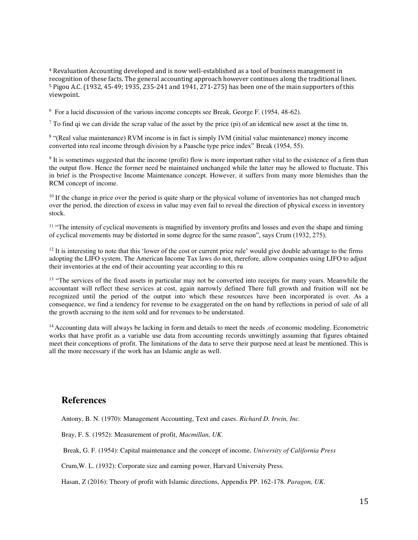<sup>4</sup> Revaluation Accounting developed and is now well-established as a tool of business management in recognition of these facts. The general accounting approach however continues along the traditional lines. <sup>5</sup> Pigou A.C. (1932, 45-49; 1935, 235-241 and 1941, 271-275) has been one of the main supporters of this viewpoint.

<sup>6</sup> For a lucid discussion of the various income concepts see Break, George F. (1954, 48-62).

 $7$  To find qi we can divide the scrap value of the asset by the price (pi) of an identical new asset at the time tn.

<sup>8</sup> "(Real value maintenance) RVM income is in fact is simply IVM (initial value maintenance) money income converted into real income through division by a Paasche type price index" Break (1954, 55).

<sup>9</sup> It is sometimes suggested that the income (profit) flow is more important rather vital to the existence of a firm than the output flow. Hence the former need be maintained unchanged while the latter may be allowed to fluctuate. This in brief is the Prospective Income Maintenance concept. However, it suffers from many more blemishes than the RCM concept of income.

 $10$  If the change in price over the period is quite sharp or the physical volume of inventories has not changed much over the period, the direction of excess in value may even fail to reveal the direction of physical excess in inventory stock.

<sup>11</sup> "The intensity of cyclical movements is magnified by inventory profits and losses and even the shape and timing of cyclical movements may be distorted in some degree for the same reason", says Crum (1932, 275).

<sup>12</sup> It is interesting to note that this 'lower of the cost or current price rule' would give double advantage to the firms adopting the LIFO system. The American Income Tax laws do not, therefore, allow companies using LIFO to adjust their inventories at the end of their accounting year according to this ru

<sup>13</sup> "The services of the fixed assets in particular may not be converted into receipts for many years. Meanwhile the accountant will reflect these services at cost, again narrowly defined There full growth and fruition will not be recognized until the period of the output into which these resources have been incorporated is over. As a consequence, we find a tendency for revenue to be exaggerated on the on hand by reflections in period of sale of all the growth accruing to the item sold and for revenues to be understated.

<sup>14</sup> Accounting data will always be lacking in form and details to meet the needs .of economic modeling. Econometric works that have profit as a variable use data from accounting records unwittingly assuming that figures obtained meet their conceptions of profit. The limitations of the data to serve their purpose need at least be mentioned. This is all the more necessary if the work has an Islamic angle as well.

# **References**

Antony, B. N. (1970): Management Accounting, Text and cases. *Richard D. Irwin, Inc.* 

Bray, F. S. (1952): Measurement of profit, *Macmillan, UK.* 

Break, G. F. (1954): Capital maintenance and the concept of income, *University of California Press*

Crum,W. L. (1932): Corporate size and earning power, Harvard University Press.

Hasan, Z (2016): Theory of profit with Islamic directions, Appendix PP. 162-178*. Paragon, UK.*